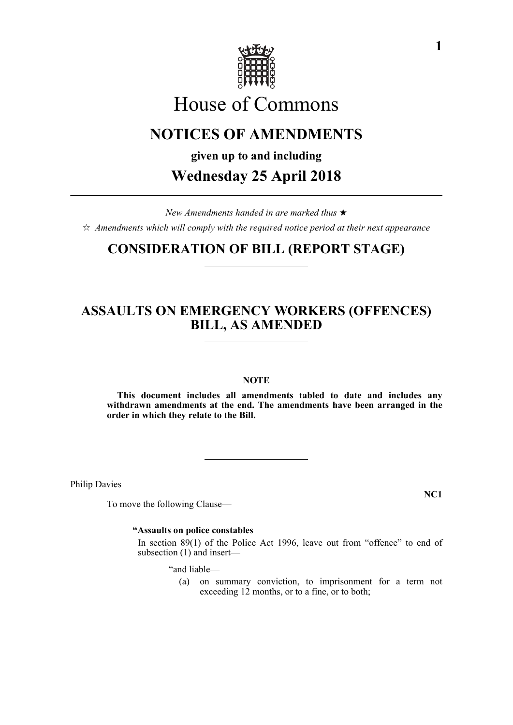

# House of Commons

## **NOTICES OF AMENDMENTS**

**given up to and including**

## **Wednesday 25 April 2018**

*New Amendments handed in are marked thus*   $\hat{\varphi}$  Amendments which will comply with the required notice period at their next appearance

## **CONSIDERATION OF BILL (REPORT STAGE)**

## **ASSAULTS ON EMERGENCY WORKERS (OFFENCES) BILL, AS AMENDED**

#### **NOTE**

**This document includes all amendments tabled to date and includes any withdrawn amendments at the end. The amendments have been arranged in the order in which they relate to the Bill.**

Philip Davies

To move the following Clause—

**NC1**

#### **"Assaults on police constables**

 In section 89(1) of the Police Act 1996, leave out from "offence" to end of subsection (1) and insert—

"and liable—

(a) on summary conviction, to imprisonment for a term not exceeding 12 months, or to a fine, or to both;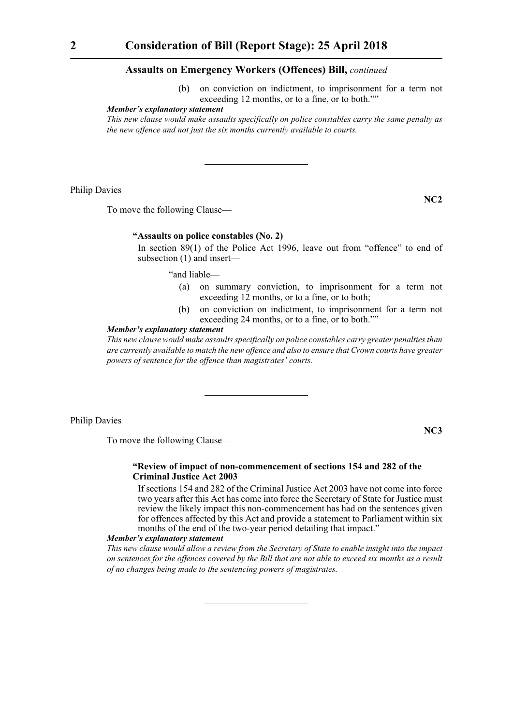(b) on conviction on indictment, to imprisonment for a term not exceeding 12 months, or to a fine, or to both.""

#### *Member's explanatory statement*

*This new clause would make assaults specifically on police constables carry the same penalty as the new offence and not just the six months currently available to courts.*

Philip Davies

**NC2**

To move the following Clause—

#### **"Assaults on police constables (No. 2)**

 In section 89(1) of the Police Act 1996, leave out from "offence" to end of subsection (1) and insert—

"and liable—

- (a) on summary conviction, to imprisonment for a term not exceeding 12 months, or to a fine, or to both;
- (b) on conviction on indictment, to imprisonment for a term not exceeding 24 months, or to a fine, or to both.""

#### *Member's explanatory statement*

*This new clause would make assaults specifically on police constables carry greater penalties than are currently available to match the new offence and also to ensure that Crown courts have greater powers of sentence for the offence than magistrates' courts.*

Philip Davies

**NC3**

To move the following Clause—

#### **"Review of impact of non-commencement of sections 154 and 282 of the Criminal Justice Act 2003**

 If sections 154 and 282 of the Criminal Justice Act 2003 have not come into force two years after this Act has come into force the Secretary of State for Justice must review the likely impact this non-commencement has had on the sentences given for offences affected by this Act and provide a statement to Parliament within six months of the end of the two-year period detailing that impact."

#### *Member's explanatory statement*

*This new clause would allow a review from the Secretary of State to enable insight into the impact on sentences for the offences covered by the Bill that are not able to exceed six months as a result of no changes being made to the sentencing powers of magistrates.*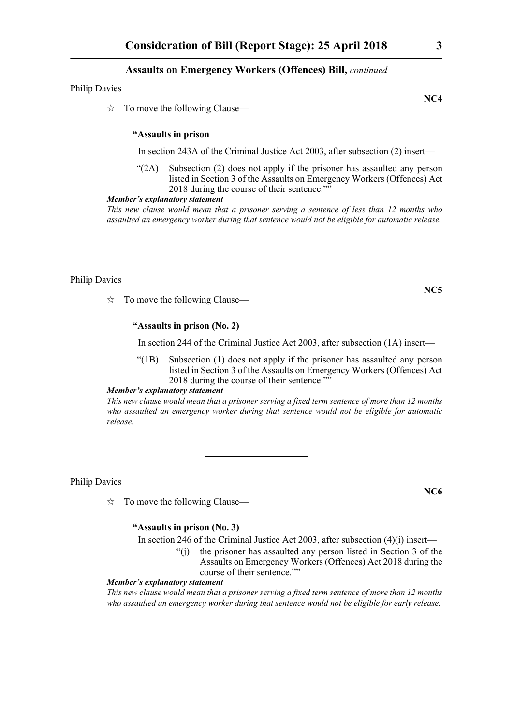Philip Davies

 $\vec{\mathcal{R}}$  To move the following Clause—

#### **"Assaults in prison**

In section 243A of the Criminal Justice Act 2003, after subsection (2) insert—

"(2A) Subsection (2) does not apply if the prisoner has assaulted any person listed in Section 3 of the Assaults on Emergency Workers (Offences) Act 2018 during the course of their sentence.""

#### *Member's explanatory statement*

*This new clause would mean that a prisoner serving a sentence of less than 12 months who assaulted an emergency worker during that sentence would not be eligible for automatic release.*

Philip Davies

 $\vec{\mathcal{R}}$  To move the following Clause—

#### **"Assaults in prison (No. 2)**

In section 244 of the Criminal Justice Act 2003, after subsection (1A) insert—

"(1B) Subsection (1) does not apply if the prisoner has assaulted any person listed in Section 3 of the Assaults on Emergency Workers (Offences) Act 2018 during the course of their sentence.""

*Member's explanatory statement* 

*This new clause would mean that a prisoner serving a fixed term sentence of more than 12 months who assaulted an emergency worker during that sentence would not be eligible for automatic release.*

Philip Davies

 $\vec{x}$  To move the following Clause—

#### **"Assaults in prison (No. 3)**

In section 246 of the Criminal Justice Act 2003, after subsection (4)(i) insert—

"(j) the prisoner has assaulted any person listed in Section 3 of the Assaults on Emergency Workers (Offences) Act 2018 during the course of their sentence.""

#### *Member's explanatory statement*

*This new clause would mean that a prisoner serving a fixed term sentence of more than 12 months who assaulted an emergency worker during that sentence would not be eligible for early release.*

**NC4**

**NC5**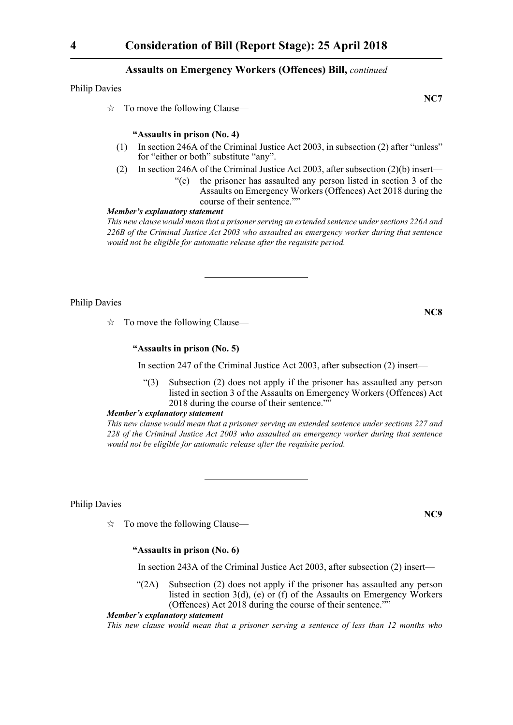Philip Davies

 $\vec{\mathcal{R}}$  To move the following Clause—

#### **"Assaults in prison (No. 4)**

- (1) In section 246A of the Criminal Justice Act 2003, in subsection (2) after "unless" for "either or both" substitute "any".
- (2) In section 246A of the Criminal Justice Act 2003, after subsection (2)(b) insert—
	- "(c) the prisoner has assaulted any person listed in section 3 of the Assaults on Emergency Workers (Offences) Act 2018 during the course of their sentence.""

#### *Member's explanatory statement*

*This new clause would mean that a prisoner serving an extended sentence under sections 226A and 226B of the Criminal Justice Act 2003 who assaulted an emergency worker during that sentence would not be eligible for automatic release after the requisite period.*

Philip Davies

 $\vec{\mathcal{R}}$  To move the following Clause—

#### **"Assaults in prison (No. 5)**

In section 247 of the Criminal Justice Act 2003, after subsection (2) insert—

"(3) Subsection (2) does not apply if the prisoner has assaulted any person listed in section 3 of the Assaults on Emergency Workers (Offences) Act 2018 during the course of their sentence.""

#### *Member's explanatory statement*

*This new clause would mean that a prisoner serving an extended sentence under sections 227 and 228 of the Criminal Justice Act 2003 who assaulted an emergency worker during that sentence would not be eligible for automatic release after the requisite period.*

Philip Davies

 $\vec{x}$  To move the following Clause—

#### **"Assaults in prison (No. 6)**

In section 243A of the Criminal Justice Act 2003, after subsection (2) insert—

 $\mathcal{L}(2A)$  Subsection (2) does not apply if the prisoner has assaulted any person listed in section 3(d), (e) or (f) of the Assaults on Emergency Workers (Offences) Act 2018 during the course of their sentence.""

#### *Member's explanatory statement*

*This new clause would mean that a prisoner serving a sentence of less than 12 months who*

**NC8**

**NC9**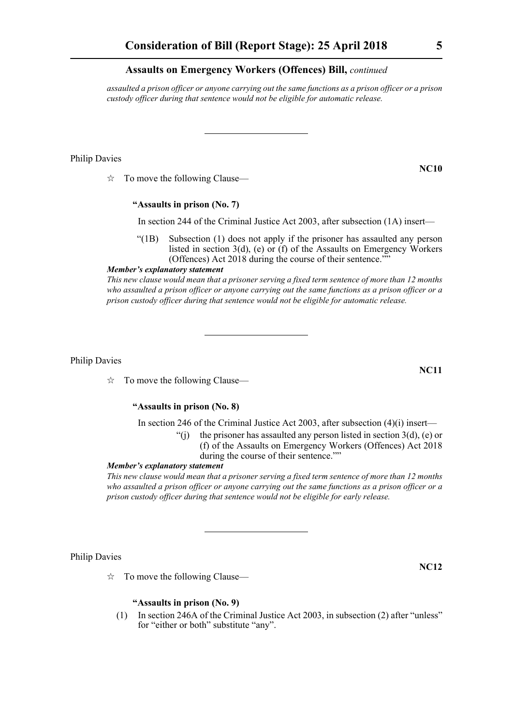*assaulted a prison officer or anyone carrying out the same functions as a prison officer or a prison custody officer during that sentence would not be eligible for automatic release.*

#### Philip Davies

 $\vec{x}$  To move the following Clause—

#### **"Assaults in prison (No. 7)**

In section 244 of the Criminal Justice Act 2003, after subsection (1A) insert—

"(1B) Subsection (1) does not apply if the prisoner has assaulted any person listed in section 3(d), (e) or (f) of the Assaults on Emergency Workers (Offences) Act 2018 during the course of their sentence.""

*Member's explanatory statement* 

*This new clause would mean that a prisoner serving a fixed term sentence of more than 12 months who assaulted a prison officer or anyone carrying out the same functions as a prison officer or a prison custody officer during that sentence would not be eligible for automatic release.*

Philip Davies

 $\vec{\mathcal{R}}$  To move the following Clause—

#### **"Assaults in prison (No. 8)**

In section 246 of the Criminal Justice Act 2003, after subsection (4)(i) insert—

- "(i) the prisoner has assaulted any person listed in section  $3(d)$ , (e) or (f) of the Assaults on Emergency Workers (Offences) Act 2018
	- during the course of their sentence.""

#### *Member's explanatory statement*

*This new clause would mean that a prisoner serving a fixed term sentence of more than 12 months who assaulted a prison officer or anyone carrying out the same functions as a prison officer or a prison custody officer during that sentence would not be eligible for early release.*

Philip Davies

 $\vec{x}$  To move the following Clause—

#### **"Assaults in prison (No. 9)**

(1) In section 246A of the Criminal Justice Act 2003, in subsection (2) after "unless" for "either or both" substitute "any".

**NC11**

**NC12**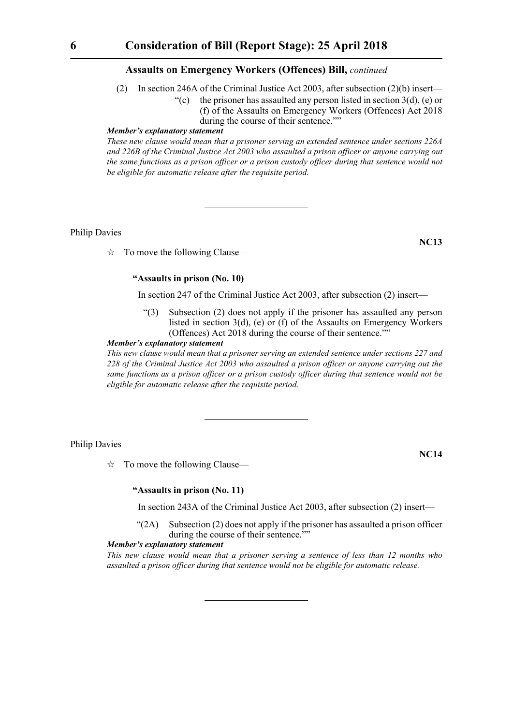- (2) In section 246A of the Criminal Justice Act 2003, after subsection (2)(b) insert—
	- "(c) the prisoner has assaulted any person listed in section  $3(d)$ , (e) or (f) of the Assaults on Emergency Workers (Offences) Act 2018 during the course of their sentence.""

#### *Member's explanatory statement*

*These new clause would mean that a prisoner serving an extended sentence under sections 226A and 226B of the Criminal Justice Act 2003 who assaulted a prison officer or anyone carrying out the same functions as a prison officer or a prison custody officer during that sentence would not be eligible for automatic release after the requisite period.*

Philip Davies

 $\vec{x}$  To move the following Clause—

#### **"Assaults in prison (No. 10)**

In section 247 of the Criminal Justice Act 2003, after subsection (2) insert—

"(3) Subsection (2) does not apply if the prisoner has assaulted any person listed in section 3(d), (e) or (f) of the Assaults on Emergency Workers (Offences) Act 2018 during the course of their sentence.""

#### *Member's explanatory statement*

*This new clause would mean that a prisoner serving an extended sentence under sections 227 and 228 of the Criminal Justice Act 2003 who assaulted a prison officer or anyone carrying out the same functions as a prison officer or a prison custody officer during that sentence would not be eligible for automatic release after the requisite period.*

#### Philip Davies

 $\vec{x}$  To move the following Clause—

**NC14**

**NC13**

#### **"Assaults in prison (No. 11)**

In section 243A of the Criminal Justice Act 2003, after subsection (2) insert—

 $\mathcal{L}(2A)$  Subsection (2) does not apply if the prisoner has assaulted a prison officer during the course of their sentence.""

#### *Member's explanatory statement*

*This new clause would mean that a prisoner serving a sentence of less than 12 months who assaulted a prison officer during that sentence would not be eligible for automatic release.*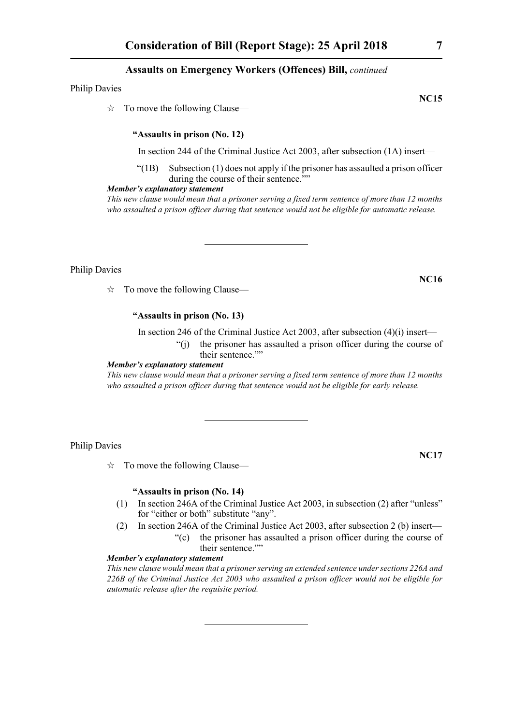Philip Davies

 $\vec{\mathcal{R}}$  To move the following Clause—

#### **"Assaults in prison (No. 12)**

In section 244 of the Criminal Justice Act 2003, after subsection (1A) insert—

 $\degree$ (1B) Subsection (1) does not apply if the prisoner has assaulted a prison officer during the course of their sentence.""

#### *Member's explanatory statement*

*This new clause would mean that a prisoner serving a fixed term sentence of more than 12 months who assaulted a prison officer during that sentence would not be eligible for automatic release.*

Philip Davies

 $\vec{\mathcal{R}}$  To move the following Clause—

#### **"Assaults in prison (No. 13)**

In section 246 of the Criminal Justice Act 2003, after subsection (4)(i) insert— "(j) the prisoner has assaulted a prison officer during the course of their sentence.""

#### *Member's explanatory statement*

*This new clause would mean that a prisoner serving a fixed term sentence of more than 12 months who assaulted a prison officer during that sentence would not be eligible for early release.*

Philip Davies

 $\vec{x}$  To move the following Clause—

#### **"Assaults in prison (No. 14)**

- (1) In section 246A of the Criminal Justice Act 2003, in subsection (2) after "unless" for "either or both" substitute "any".
- (2) In section 246A of the Criminal Justice Act 2003, after subsection 2 (b) insert— "(c) the prisoner has assaulted a prison officer during the course of their sentence.""

#### *Member's explanatory statement*

*This new clause would mean that a prisoner serving an extended sentence under sections 226A and 226B of the Criminal Justice Act 2003 who assaulted a prison officer would not be eligible for automatic release after the requisite period.*

**NC15**

**NC16**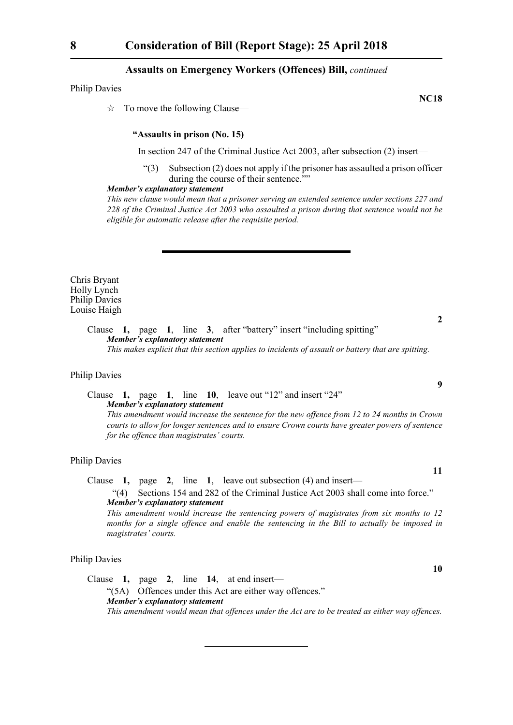Philip Davies

 $\vec{\mathcal{R}}$  To move the following Clause—

#### **"Assaults in prison (No. 15)**

In section 247 of the Criminal Justice Act 2003, after subsection (2) insert—

"(3) Subsection (2) does not apply if the prisoner has assaulted a prison officer during the course of their sentence.""

#### *Member's explanatory statement*

*This new clause would mean that a prisoner serving an extended sentence under sections 227 and 228 of the Criminal Justice Act 2003 who assaulted a prison during that sentence would not be eligible for automatic release after the requisite period.*

Chris Bryant Holly Lynch Philip Davies Louise Haigh

> Clause **1,** page **1**, line **3**, after "battery" insert "including spitting" *Member's explanatory statement*

*This makes explicit that this section applies to incidents of assault or battery that are spitting.*

#### Philip Davies

Clause **1,** page **1**, line **10**, leave out "12" and insert "24" *Member's explanatory statement* 

*This amendment would increase the sentence for the new offence from 12 to 24 months in Crown courts to allow for longer sentences and to ensure Crown courts have greater powers of sentence for the offence than magistrates' courts.* 

#### Philip Davies

Clause **1,** page **2**, line **1**, leave out subsection (4) and insert—

"(4) Sections 154 and 282 of the Criminal Justice Act 2003 shall come into force." *Member's explanatory statement* 

*This amendment would increase the sentencing powers of magistrates from six months to 12 months for a single offence and enable the sentencing in the Bill to actually be imposed in magistrates' courts.*

#### Philip Davies

Clause **1,** page **2**, line **14**, at end insert— "(5A) Offences under this Act are either way offences." *Member's explanatory statement This amendment would mean that offences under the Act are to be treated as either way offences.*

**NC18**

**9**

**2**

**10**

**11**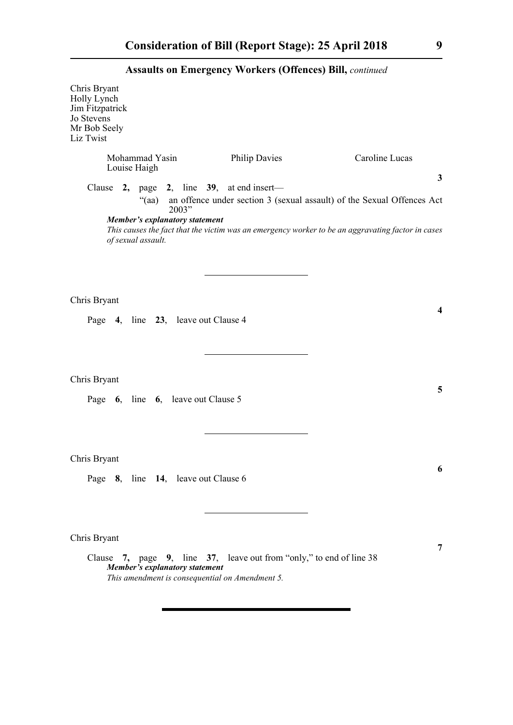| Chris Bryant<br>Holly Lynch<br>Jim Fitzpatrick<br>Jo Stevens<br>Mr Bob Seely<br>Liz Twist |                                |                                                  |                                                                                                                        |                                                                                                                                                                                             |
|-------------------------------------------------------------------------------------------|--------------------------------|--------------------------------------------------|------------------------------------------------------------------------------------------------------------------------|---------------------------------------------------------------------------------------------------------------------------------------------------------------------------------------------|
|                                                                                           | Mohammad Yasin<br>Louise Haigh |                                                  | <b>Philip Davies</b>                                                                                                   | Caroline Lucas                                                                                                                                                                              |
|                                                                                           | of sexual assault.             | "(aa)<br>2003"<br>Member's explanatory statement | Clause 2, page 2, line 39, at end insert—                                                                              | $\mathbf{3}$<br>an offence under section 3 (sexual assault) of the Sexual Offences Act<br>This causes the fact that the victim was an emergency worker to be an aggravating factor in cases |
| Chris Bryant                                                                              |                                | Page 4, line 23, leave out Clause 4              |                                                                                                                        | $\boldsymbol{4}$                                                                                                                                                                            |
| Chris Bryant                                                                              |                                | Page 6, line 6, leave out Clause 5               |                                                                                                                        | 5                                                                                                                                                                                           |
| Chris Bryant                                                                              |                                | Page 8, line 14, leave out Clause 6              |                                                                                                                        | 6                                                                                                                                                                                           |
| Chris Bryant                                                                              |                                | Member's explanatory statement                   | Clause 7, page 9, line 37, leave out from "only," to end of line 38<br>This amendment is consequential on Amendment 5. | 7                                                                                                                                                                                           |